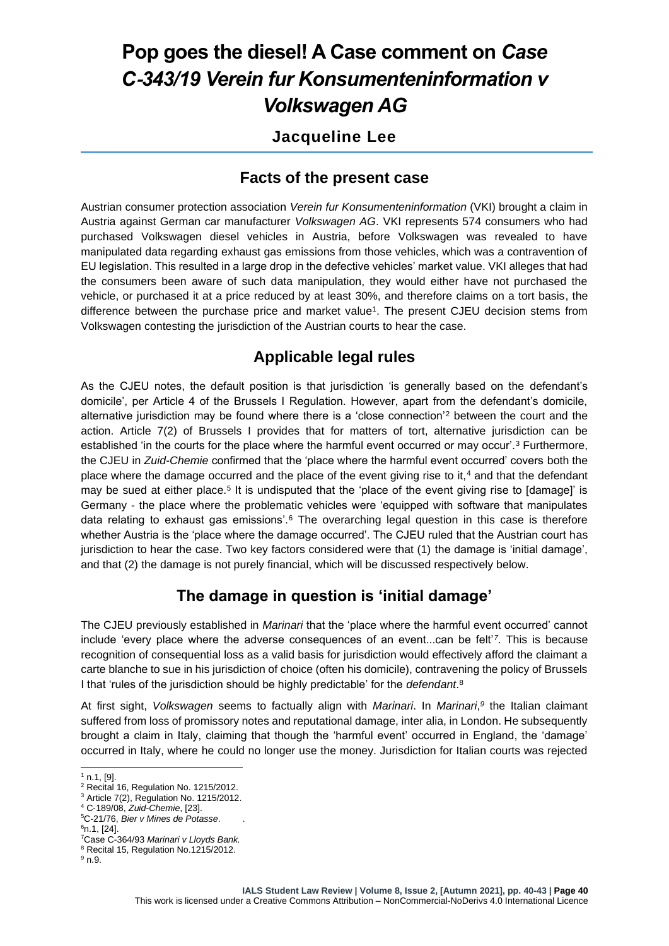# **Pop goes the diesel! A Case comment on** *Case C*‑*343/19 Verein fur Konsumenteninformation v Volkswagen AG*

#### **Jacqueline Lee**

#### **Facts of the present case**

Austrian consumer protection association *Verein fur Konsumenteninformation* (VKI) brought a claim in Austria against German car manufacturer *Volkswagen AG*. VKI represents 574 consumers who had purchased Volkswagen diesel vehicles in Austria, before Volkswagen was revealed to have manipulated data regarding exhaust gas emissions from those vehicles, which was a contravention of EU legislation. This resulted in a large drop in the defective vehicles' market value. VKI alleges that had the consumers been aware of such data manipulation, they would either have not purchased the vehicle, or purchased it at a price reduced by at least 30%, and therefore claims on a tort basis, the difference between the purchase price and market value<sup>1</sup>. The present CJEU decision stems from Volkswagen contesting the jurisdiction of the Austrian courts to hear the case.

### **Applicable legal rules**

As the CJEU notes, the default position is that jurisdiction 'is generally based on the defendant's domicile', per Article 4 of the Brussels I Regulation. However, apart from the defendant's domicile, alternative jurisdiction may be found where there is a 'close connection'<sup>2</sup> between the court and the action. Article 7(2) of Brussels I provides that for matters of tort, alternative jurisdiction can be established 'in the courts for the place where the harmful event occurred or may occur'.<sup>3</sup> Furthermore, the CJEU in *Zuid-Chemie* confirmed that the 'place where the harmful event occurred' covers both the place where the damage occurred and the place of the event giving rise to it,<sup>4</sup> and that the defendant may be sued at either place.<sup>5</sup> It is undisputed that the 'place of the event giving rise to [damage]' is Germany - the place where the problematic vehicles were 'equipped with software that manipulates data relating to exhaust gas emissions'.<sup>6</sup> The overarching legal question in this case is therefore whether Austria is the 'place where the damage occurred'. The CJEU ruled that the Austrian court has jurisdiction to hear the case. Two key factors considered were that (1) the damage is 'initial damage', and that (2) the damage is not purely financial, which will be discussed respectively below.

### **The damage in question is 'initial damage'**

The CJEU previously established in *Marinari* that the 'place where the harmful event occurred' cannot include 'every place where the adverse consequences of an event...can be felt'*<sup>7</sup>* . This is because recognition of consequential loss as a valid basis for jurisdiction would effectively afford the claimant a carte blanche to sue in his jurisdiction of choice (often his domicile), contravening the policy of Brussels I that 'rules of the jurisdiction should be highly predictable' for the *defendant*. 8

At first sight, *Volkswagen* seems to factually align with *Marinari*. In *Marinari*, *9* the Italian claimant suffered from loss of promissory notes and reputational damage, inter alia, in London. He subsequently brought a claim in Italy, claiming that though the 'harmful event' occurred in England, the 'damage' occurred in Italy, where he could no longer use the money. Jurisdiction for Italian courts was rejected

 $1$  n.1, [9].

<sup>2</sup> Recital 16, Regulation No. 1215/2012.

<sup>3</sup> Article 7(2), Regulation No. 1215/2012. <sup>4</sup> C‑189/08, *Zuid*-*Chemie*, [23].

<sup>5</sup>C-21/76, *Bier v Mines de Potasse*. .  $6n.1, [24]$ .

<sup>7</sup>Case C-364/93 *Marinari v Lloyds Bank.*

<sup>8</sup> Recital 15, Regulation No.1215/2012.

<sup>9</sup> n.9.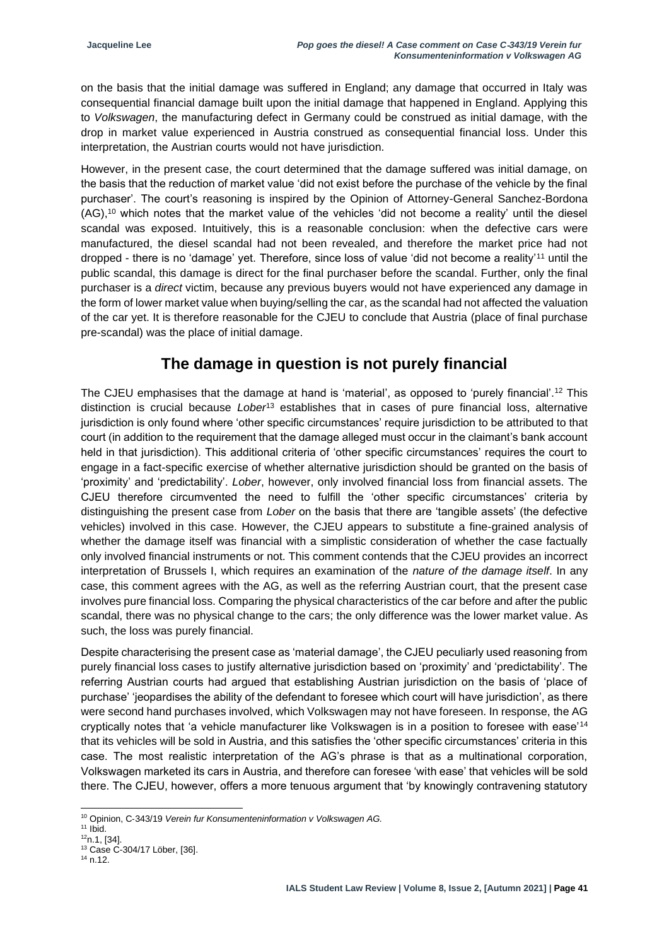on the basis that the initial damage was suffered in England; any damage that occurred in Italy was consequential financial damage built upon the initial damage that happened in England. Applying this to *Volkswagen*, the manufacturing defect in Germany could be construed as initial damage, with the drop in market value experienced in Austria construed as consequential financial loss. Under this interpretation, the Austrian courts would not have jurisdiction.

However, in the present case, the court determined that the damage suffered was initial damage, on the basis that the reduction of market value 'did not exist before the purchase of the vehicle by the final purchaser'. The court's reasoning is inspired by the Opinion of Attorney-General Sanchez-Bordona (AG),<sup>10</sup> which notes that the market value of the vehicles 'did not become a reality' until the diesel scandal was exposed. Intuitively, this is a reasonable conclusion: when the defective cars were manufactured, the diesel scandal had not been revealed, and therefore the market price had not dropped - there is no 'damage' yet. Therefore, since loss of value 'did not become a reality'<sup>11</sup> until the public scandal, this damage is direct for the final purchaser before the scandal. Further, only the final purchaser is a *direct* victim, because any previous buyers would not have experienced any damage in the form of lower market value when buying/selling the car, as the scandal had not affected the valuation of the car yet. It is therefore reasonable for the CJEU to conclude that Austria (place of final purchase pre-scandal) was the place of initial damage.

### **The damage in question is not purely financial**

The CJEU emphasises that the damage at hand is 'material', as opposed to 'purely financial'.<sup>12</sup> This distinction is crucial because *Lober*<sup>13</sup> establishes that in cases of pure financial loss, alternative jurisdiction is only found where 'other specific circumstances' require jurisdiction to be attributed to that court (in addition to the requirement that the damage alleged must occur in the claimant's bank account held in that jurisdiction). This additional criteria of 'other specific circumstances' requires the court to engage in a fact-specific exercise of whether alternative jurisdiction should be granted on the basis of 'proximity' and 'predictability'. *Lober*, however, only involved financial loss from financial assets. The CJEU therefore circumvented the need to fulfill the 'other specific circumstances' criteria by distinguishing the present case from *Lober* on the basis that there are 'tangible assets' (the defective vehicles) involved in this case. However, the CJEU appears to substitute a fine-grained analysis of whether the damage itself was financial with a simplistic consideration of whether the case factually only involved financial instruments or not. This comment contends that the CJEU provides an incorrect interpretation of Brussels I, which requires an examination of the *nature of the damage itself*. In any case, this comment agrees with the AG, as well as the referring Austrian court, that the present case involves pure financial loss. Comparing the physical characteristics of the car before and after the public scandal, there was no physical change to the cars; the only difference was the lower market value. As such, the loss was purely financial.

Despite characterising the present case as 'material damage', the CJEU peculiarly used reasoning from purely financial loss cases to justify alternative jurisdiction based on 'proximity' and 'predictability'. The referring Austrian courts had argued that establishing Austrian jurisdiction on the basis of 'place of purchase' 'jeopardises the ability of the defendant to foresee which court will have jurisdiction', as there were second hand purchases involved, which Volkswagen may not have foreseen. In response, the AG cryptically notes that 'a vehicle manufacturer like Volkswagen is in a position to foresee with ease'<sup>14</sup> that its vehicles will be sold in Austria, and this satisfies the 'other specific circumstances' criteria in this case. The most realistic interpretation of the AG's phrase is that as a multinational corporation, Volkswagen marketed its cars in Austria, and therefore can foresee 'with ease' that vehicles will be sold there. The CJEU, however, offers a more tenuous argument that 'by knowingly contravening statutory

<sup>10</sup> Opinion, C‑343/19 *Verein fur Konsumenteninformation v Volkswagen AG.*

 $11$  Ibid.

 $12n.1, 1341$ .

<sup>13</sup> Case C-304/17 Löber, [36].

<sup>14</sup> n.12.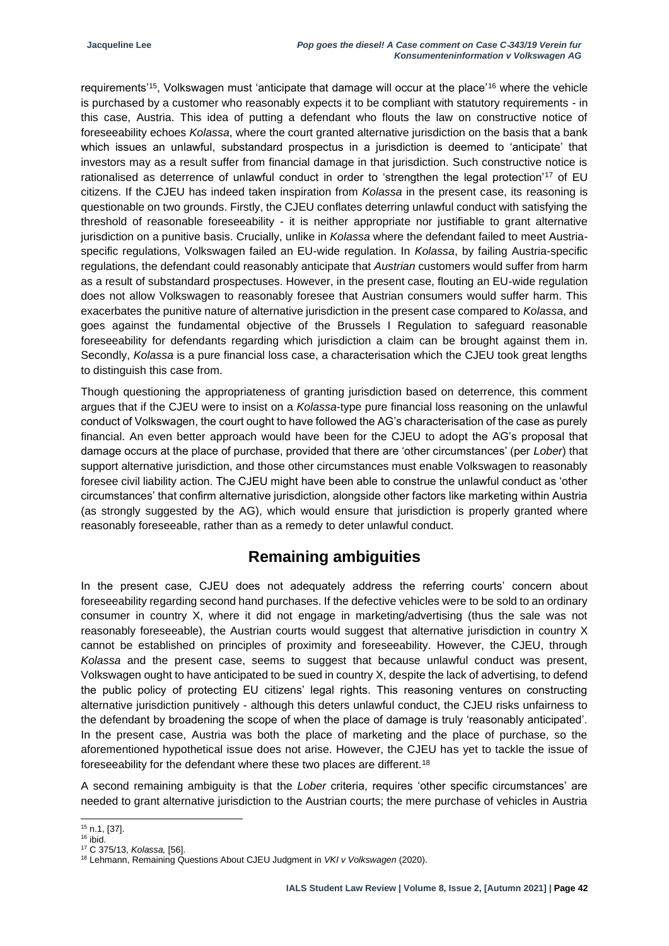requirements'<sup>15</sup>, Volkswagen must 'anticipate that damage will occur at the place'<sup>16</sup> where the vehicle is purchased by a customer who reasonably expects it to be compliant with statutory requirements - in this case, Austria. This idea of putting a defendant who flouts the law on constructive notice of foreseeability echoes *Kolassa*, where the court granted alternative jurisdiction on the basis that a bank which issues an unlawful, substandard prospectus in a jurisdiction is deemed to 'anticipate' that investors may as a result suffer from financial damage in that jurisdiction. Such constructive notice is rationalised as deterrence of unlawful conduct in order to 'strengthen the legal protection'<sup>17</sup> of EU citizens. If the CJEU has indeed taken inspiration from *Kolassa* in the present case, its reasoning is questionable on two grounds. Firstly, the CJEU conflates deterring unlawful conduct with satisfying the threshold of reasonable foreseeability - it is neither appropriate nor justifiable to grant alternative jurisdiction on a punitive basis. Crucially, unlike in *Kolassa* where the defendant failed to meet Austriaspecific regulations, Volkswagen failed an EU-wide regulation. In *Kolassa*, by failing Austria-specific regulations, the defendant could reasonably anticipate that *Austrian* customers would suffer from harm as a result of substandard prospectuses. However, in the present case, flouting an EU-wide regulation does not allow Volkswagen to reasonably foresee that Austrian consumers would suffer harm. This exacerbates the punitive nature of alternative jurisdiction in the present case compared to *Kolassa*, and goes against the fundamental objective of the Brussels I Regulation to safeguard reasonable foreseeability for defendants regarding which jurisdiction a claim can be brought against them in. Secondly, *Kolassa* is a pure financial loss case, a characterisation which the CJEU took great lengths to distinguish this case from.

Though questioning the appropriateness of granting jurisdiction based on deterrence, this comment argues that if the CJEU were to insist on a *Kolassa*-type pure financial loss reasoning on the unlawful conduct of Volkswagen, the court ought to have followed the AG's characterisation of the case as purely financial. An even better approach would have been for the CJEU to adopt the AG's proposal that damage occurs at the place of purchase, provided that there are 'other circumstances' (per *Lober*) that support alternative jurisdiction, and those other circumstances must enable Volkswagen to reasonably foresee civil liability action. The CJEU might have been able to construe the unlawful conduct as 'other circumstances' that confirm alternative jurisdiction, alongside other factors like marketing within Austria (as strongly suggested by the AG), which would ensure that jurisdiction is properly granted where reasonably foreseeable, rather than as a remedy to deter unlawful conduct.

### **Remaining ambiguities**

In the present case, CJEU does not adequately address the referring courts' concern about foreseeability regarding second hand purchases. If the defective vehicles were to be sold to an ordinary consumer in country X, where it did not engage in marketing/advertising (thus the sale was not reasonably foreseeable), the Austrian courts would suggest that alternative jurisdiction in country X cannot be established on principles of proximity and foreseeability. However, the CJEU, through *Kolassa* and the present case, seems to suggest that because unlawful conduct was present, Volkswagen ought to have anticipated to be sued in country X, despite the lack of advertising, to defend the public policy of protecting EU citizens' legal rights. This reasoning ventures on constructing alternative jurisdiction punitively - although this deters unlawful conduct, the CJEU risks unfairness to the defendant by broadening the scope of when the place of damage is truly 'reasonably anticipated'. In the present case, Austria was both the place of marketing and the place of purchase, so the aforementioned hypothetical issue does not arise. However, the CJEU has yet to tackle the issue of foreseeability for the defendant where these two places are different.<sup>18</sup>

A second remaining ambiguity is that the *Lober* criteria, requires 'other specific circumstances' are needed to grant alternative jurisdiction to the Austrian courts; the mere purchase of vehicles in Austria

<sup>15</sup> n.1, [37].

<sup>16</sup> ibid.

<sup>17</sup> C 375/13, *Kolassa,* [56].

<sup>18</sup> Lehmann, Remaining Questions About CJEU Judgment in *VKI v Volkswagen* (2020).